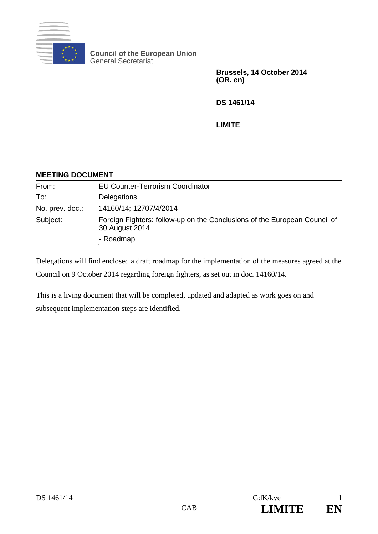

**Council of the European Union** General Secretariat

> **Brussels, 14 October 2014 (OR. en)**

**DS 1461/14**

**LIMITE**

## **MEETING DOCUMENT** From: EU Counter-Terrorism Coordinator To: Delegations No. prev. doc.: 14160/14; 12707/4/2014 Subject: Foreign Fighters: follow-up on the Conclusions of the European Council of 30 August 2014 - Roadmap

Delegations will find enclosed a draft roadmap for the implementation of the measures agreed at the Council on 9 October 2014 regarding foreign fighters, as set out in doc. 14160/14.

This is a living document that will be completed, updated and adapted as work goes on and subsequent implementation steps are identified.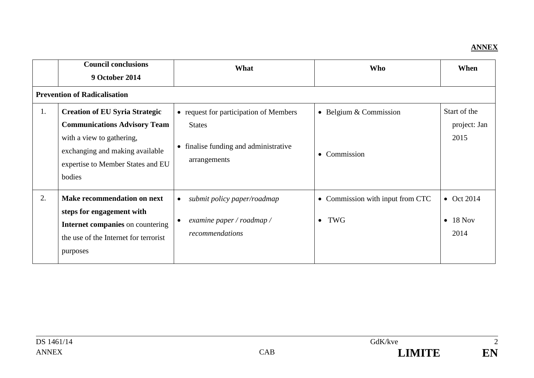## **ANNEX**

|    | <b>Council conclusions</b><br><b>9 October 2014</b>                                                                                                                                         | What                                                                                                             | <b>Who</b>                                           | When                                           |
|----|---------------------------------------------------------------------------------------------------------------------------------------------------------------------------------------------|------------------------------------------------------------------------------------------------------------------|------------------------------------------------------|------------------------------------------------|
|    | <b>Prevention of Radicalisation</b>                                                                                                                                                         |                                                                                                                  |                                                      |                                                |
| 1. | <b>Creation of EU Syria Strategic</b><br><b>Communications Advisory Team</b><br>with a view to gathering,<br>exchanging and making available<br>expertise to Member States and EU<br>bodies | • request for participation of Members<br><b>States</b><br>• finalise funding and administrative<br>arrangements | • Belgium $&$ Commission<br>Commission<br>$\bullet$  | Start of the<br>project: Jan<br>2015           |
| 2. | <b>Make recommendation on next</b><br>steps for engagement with<br>Internet companies on countering<br>the use of the Internet for terrorist<br>purposes                                    | submit policy paper/roadmap<br>$\bullet$<br>examine paper / roadmap /<br>recommendations                         | • Commission with input from CTC<br>TWG<br>$\bullet$ | $\bullet$ Oct 2014<br>$\bullet$ 18 Nov<br>2014 |

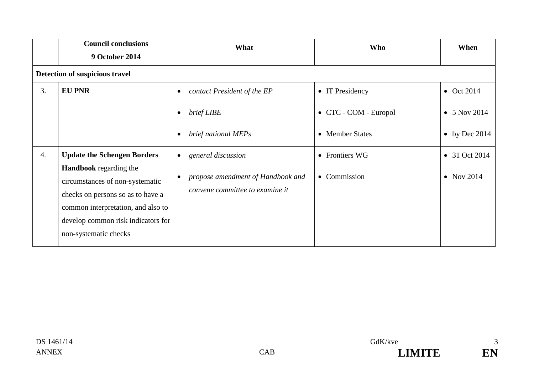|    | <b>Council conclusions</b><br><b>9 October 2014</b>                                                                                                                                                        | What                                                                 | <b>Who</b>            | When                  |
|----|------------------------------------------------------------------------------------------------------------------------------------------------------------------------------------------------------------|----------------------------------------------------------------------|-----------------------|-----------------------|
|    | Detection of suspicious travel                                                                                                                                                                             |                                                                      |                       |                       |
| 3. | <b>EU PNR</b>                                                                                                                                                                                              | contact President of the EP<br>$\bullet$                             | • IT Presidency       | $\bullet$ Oct 2014    |
|    |                                                                                                                                                                                                            | brief LIBE<br>$\bullet$                                              | • CTC - COM - Europol | $\bullet$ 5 Nov 2014  |
|    |                                                                                                                                                                                                            | brief national MEPs<br>$\bullet$                                     | • Member States       | $\bullet$ by Dec 2014 |
| 4. | <b>Update the Schengen Borders</b>                                                                                                                                                                         | general discussion<br>$\bullet$                                      | • Frontiers WG        | • 31 Oct 2014         |
|    | <b>Handbook</b> regarding the<br>circumstances of non-systematic<br>checks on persons so as to have a<br>common interpretation, and also to<br>develop common risk indicators for<br>non-systematic checks | propose amendment of Handbook and<br>convene committee to examine it | • Commission          | $\bullet$ Nov 2014    |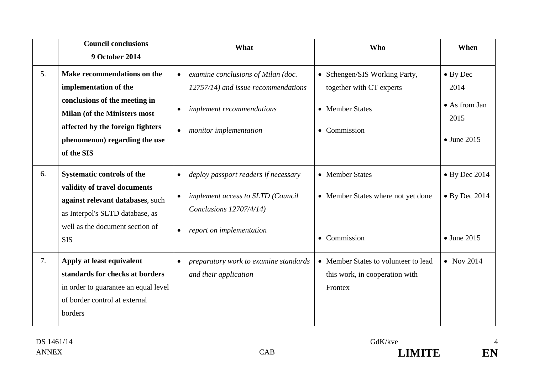|    | <b>Council conclusions</b><br><b>9 October 2014</b>                                                                                                                                                             | What                                                                                                                                                                    | <b>Who</b>                                                                                              | When                                                                     |
|----|-----------------------------------------------------------------------------------------------------------------------------------------------------------------------------------------------------------------|-------------------------------------------------------------------------------------------------------------------------------------------------------------------------|---------------------------------------------------------------------------------------------------------|--------------------------------------------------------------------------|
| 5. | Make recommendations on the<br>implementation of the<br>conclusions of the meeting in<br><b>Milan (of the Ministers most</b><br>affected by the foreign fighters<br>phenomenon) regarding the use<br>of the SIS | examine conclusions of Milan (doc.<br>$\bullet$<br>12757/14) and issue recommendations<br>implement recommendations<br>$\bullet$<br>monitor implementation              | • Schengen/SIS Working Party,<br>together with CT experts<br>• Member States<br>Commission<br>$\bullet$ | $\bullet$ By Dec<br>2014<br>• As from Jan<br>2015<br>$\bullet$ June 2015 |
| 6. | <b>Systematic controls of the</b><br>validity of travel documents<br>against relevant databases, such<br>as Interpol's SLTD database, as<br>well as the document section of<br><b>SIS</b>                       | deploy passport readers if necessary<br>$\bullet$<br>implement access to SLTD (Council<br>$\bullet$<br>Conclusions 12707/4/14)<br>report on implementation<br>$\bullet$ | • Member States<br>• Member States where not yet done<br>Commission<br>$\bullet$                        | $\bullet$ By Dec 2014<br>$\bullet$ By Dec 2014<br>$\bullet$ June 2015    |
| 7. | Apply at least equivalent<br>standards for checks at borders<br>in order to guarantee an equal level<br>of border control at external<br>borders                                                                | preparatory work to examine standards<br>$\bullet$<br>and their application                                                                                             | • Member States to volunteer to lead<br>this work, in cooperation with<br>Frontex                       | $\bullet$ Nov 2014                                                       |

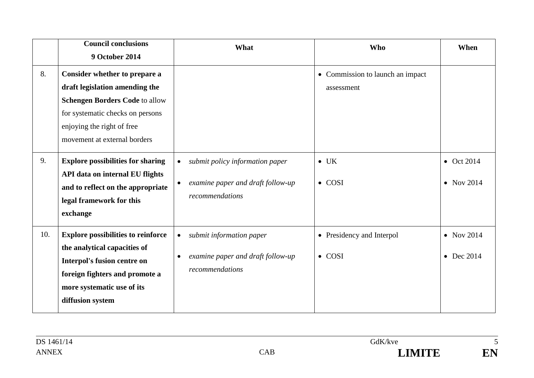|     | <b>Council conclusions</b><br><b>9 October 2014</b>                                                                                                                                                        | What                                                                                                       | <b>Who</b>                                     | When                                     |
|-----|------------------------------------------------------------------------------------------------------------------------------------------------------------------------------------------------------------|------------------------------------------------------------------------------------------------------------|------------------------------------------------|------------------------------------------|
| 8.  | Consider whether to prepare a<br>draft legislation amending the<br><b>Schengen Borders Code to allow</b><br>for systematic checks on persons<br>enjoying the right of free<br>movement at external borders |                                                                                                            | • Commission to launch an impact<br>assessment |                                          |
| 9.  | <b>Explore possibilities for sharing</b><br>API data on internal EU flights<br>and to reflect on the appropriate<br>legal framework for this<br>exchange                                                   | submit policy information paper<br>examine paper and draft follow-up<br>$\bullet$<br>recommendations       | $\bullet$ UK<br>$\bullet$ COSI                 | $\bullet$ Oct 2014<br>$\bullet$ Nov 2014 |
| 10. | <b>Explore possibilities to reinforce</b><br>the analytical capacities of<br>Interpol's fusion centre on<br>foreign fighters and promote a<br>more systematic use of its<br>diffusion system               | submit information paper<br>$\bullet$<br>examine paper and draft follow-up<br>$\bullet$<br>recommendations | • Presidency and Interpol<br>$\bullet$ COSI    | $\bullet$ Nov 2014<br>$\bullet$ Dec 2014 |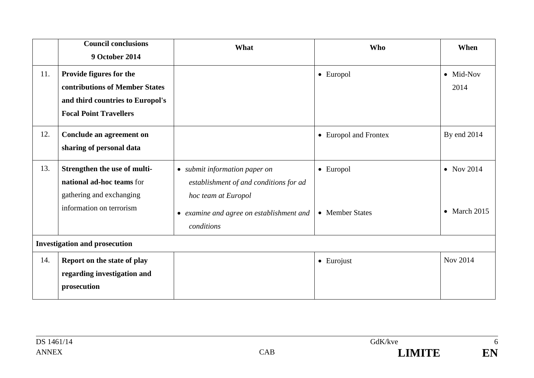|                                      | <b>Council conclusions</b><br><b>9 October 2014</b>                                                                            | What                                                                                                                                                     | <b>Who</b>                   | When                                       |
|--------------------------------------|--------------------------------------------------------------------------------------------------------------------------------|----------------------------------------------------------------------------------------------------------------------------------------------------------|------------------------------|--------------------------------------------|
| 11.                                  | Provide figures for the<br>contributions of Member States<br>and third countries to Europol's<br><b>Focal Point Travellers</b> |                                                                                                                                                          | • Europol                    | • Mid-Nov<br>2014                          |
| 12.                                  | Conclude an agreement on<br>sharing of personal data                                                                           |                                                                                                                                                          | • Europol and Frontex        | By end 2014                                |
| 13.                                  | Strengthen the use of multi-<br>national ad-hoc teams for<br>gathering and exchanging<br>information on terrorism              | • submit information paper on<br>establishment of and conditions for ad<br>hoc team at Europol<br>• examine and agree on establishment and<br>conditions | • Europol<br>• Member States | $\bullet$ Nov 2014<br>$\bullet$ March 2015 |
| <b>Investigation and prosecution</b> |                                                                                                                                |                                                                                                                                                          |                              |                                            |
| 14.                                  | Report on the state of play<br>regarding investigation and<br>prosecution                                                      |                                                                                                                                                          | $\bullet$ Eurojust           | Nov 2014                                   |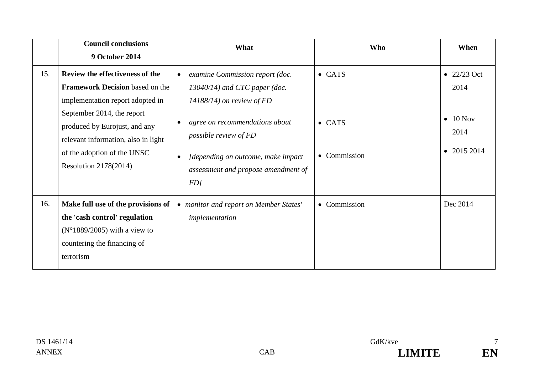|     | <b>Council conclusions</b><br><b>9 October 2014</b>                                                                                                                                                                                                                                | What                                                                                                                                                                                                                                                                                            | <b>Who</b>                                       | When                                                                                |
|-----|------------------------------------------------------------------------------------------------------------------------------------------------------------------------------------------------------------------------------------------------------------------------------------|-------------------------------------------------------------------------------------------------------------------------------------------------------------------------------------------------------------------------------------------------------------------------------------------------|--------------------------------------------------|-------------------------------------------------------------------------------------|
| 15. | Review the effectiveness of the<br><b>Framework Decision</b> based on the<br>implementation report adopted in<br>September 2014, the report<br>produced by Eurojust, and any<br>relevant information, also in light<br>of the adoption of the UNSC<br><b>Resolution 2178(2014)</b> | examine Commission report (doc.<br>$\bullet$<br>$13040/14$ ) and CTC paper (doc.<br>$14188/14$ ) on review of FD<br>agree on recommendations about<br>$\bullet$<br>possible review of FD<br>[depending on outcome, make impact<br>$\bullet$<br>assessment and propose amendment of<br><i>FD</i> | $\bullet$ CATS<br>$\bullet$ CATS<br>• Commission | $\bullet$ 22/23 Oct<br>2014<br>$10$ Nov<br>$\bullet$<br>2014<br>$\bullet$ 2015 2014 |
| 16. | Make full use of the provisions of<br>the 'cash control' regulation<br>$(N^{\circ}1889/2005)$ with a view to<br>countering the financing of<br>terrorism                                                                                                                           | • monitor and report on Member States'<br>implementation                                                                                                                                                                                                                                        | • Commission                                     | Dec 2014                                                                            |